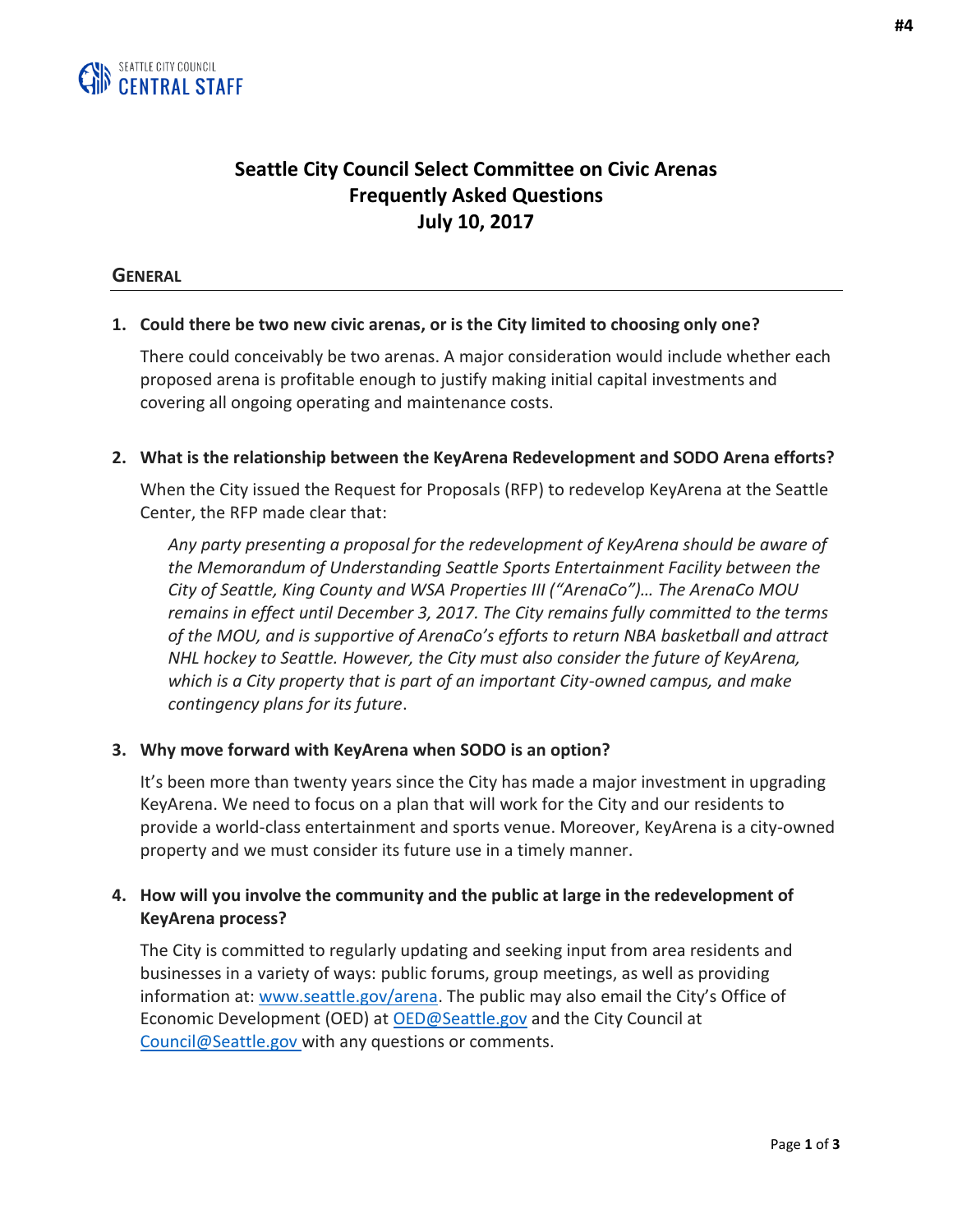

# **Seattle City Council Select Committee on Civic Arenas Frequently Asked Questions July 10, 2017**

#### **GENERAL**

#### **1. Could there be two new civic arenas, or is the City limited to choosing only one?**

There could conceivably be two arenas. A major consideration would include whether each proposed arena is profitable enough to justify making initial capital investments and covering all ongoing operating and maintenance costs.

#### **2. What is the relationship between the KeyArena Redevelopment and SODO Arena efforts?**

When the City issued the Request for Proposals (RFP) to redevelop KeyArena at the Seattle Center, the RFP made clear that:

*Any party presenting a proposal for the redevelopment of KeyArena should be aware of the Memorandum of Understanding Seattle Sports Entertainment Facility between the City of Seattle, King County and WSA Properties III ("ArenaCo")… The ArenaCo MOU remains in effect until December 3, 2017. The City remains fully committed to the terms of the MOU, and is supportive of ArenaCo's efforts to return NBA basketball and attract NHL hockey to Seattle. However, the City must also consider the future of KeyArena, which is a City property that is part of an important City-owned campus, and make contingency plans for its future*.

#### **3. Why move forward with KeyArena when SODO is an option?**

It's been more than twenty years since the City has made a major investment in upgrading KeyArena. We need to focus on a plan that will work for the City and our residents to provide a world-class entertainment and sports venue. Moreover, KeyArena is a city-owned property and we must consider its future use in a timely manner.

## **4. How will you involve the community and the public at large in the redevelopment of KeyArena process?**

The City is committed to regularly updating and seeking input from area residents and businesses in a variety of ways: public forums, group meetings, as well as providing information at: [www.seattle.gov/arena.](http://www.seattle.gov/arena) The public may also email the City's Office of Economic Development (OED) at [OED@Seattle.gov](mailto:OED@Seattle.gov) and the City Council at Council@Seattle.gov with any questions or comments.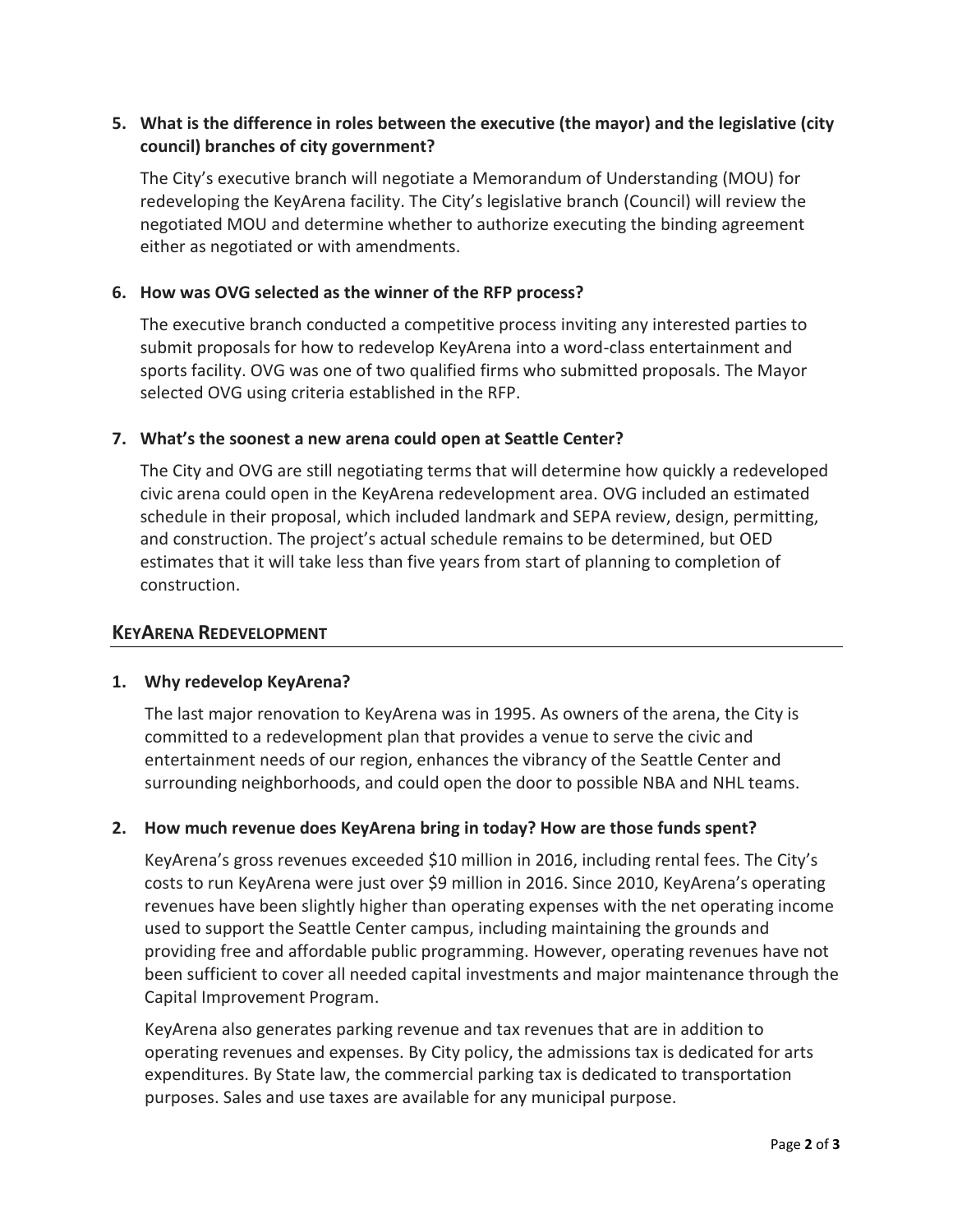## **5. What is the difference in roles between the executive (the mayor) and the legislative (city council) branches of city government?**

The City's executive branch will negotiate a Memorandum of Understanding (MOU) for redeveloping the KeyArena facility. The City's legislative branch (Council) will review the negotiated MOU and determine whether to authorize executing the binding agreement either as negotiated or with amendments.

## **6. How was OVG selected as the winner of the RFP process?**

The executive branch conducted a competitive process inviting any interested parties to submit proposals for how to redevelop KeyArena into a word-class entertainment and sports facility. OVG was one of two qualified firms who submitted proposals. The Mayor selected OVG using criteria established in the RFP.

## **7. What's the soonest a new arena could open at Seattle Center?**

The City and OVG are still negotiating terms that will determine how quickly a redeveloped civic arena could open in the KeyArena redevelopment area. OVG included an estimated schedule in their proposal, which included landmark and SEPA review, design, permitting, and construction. The project's actual schedule remains to be determined, but OED estimates that it will take less than five years from start of planning to completion of construction.

## **KEYARENA REDEVELOPMENT**

#### **1. Why redevelop KeyArena?**

The last major renovation to KeyArena was in 1995. As owners of the arena, the City is committed to a redevelopment plan that provides a venue to serve the civic and entertainment needs of our region, enhances the vibrancy of the Seattle Center and surrounding neighborhoods, and could open the door to possible NBA and NHL teams.

## **2. How much revenue does KeyArena bring in today? How are those funds spent?**

KeyArena's gross revenues exceeded \$10 million in 2016, including rental fees. The City's costs to run KeyArena were just over \$9 million in 2016. Since 2010, KeyArena's operating revenues have been slightly higher than operating expenses with the net operating income used to support the Seattle Center campus, including maintaining the grounds and providing free and affordable public programming. However, operating revenues have not been sufficient to cover all needed capital investments and major maintenance through the Capital Improvement Program.

KeyArena also generates parking revenue and tax revenues that are in addition to operating revenues and expenses. By City policy, the admissions tax is dedicated for arts expenditures. By State law, the commercial parking tax is dedicated to transportation purposes. Sales and use taxes are available for any municipal purpose.